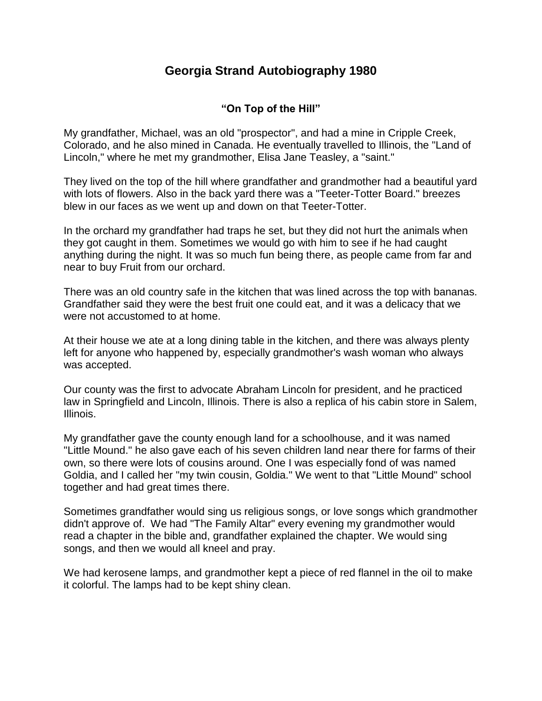## **Georgia Strand Autobiography 1980**

## **"On Top of the Hill"**

My grandfather, Michael, was an old "prospector", and had a mine in Cripple Creek, Colorado, and he also mined in Canada. He eventually travelled to Illinois, the "Land of Lincoln," where he met my grandmother, Elisa Jane Teasley, a "saint."

They lived on the top of the hill where grandfather and grandmother had a beautiful yard with lots of flowers. Also in the back yard there was a "Teeter-Totter Board." breezes blew in our faces as we went up and down on that Teeter-Totter.

In the orchard my grandfather had traps he set, but they did not hurt the animals when they got caught in them. Sometimes we would go with him to see if he had caught anything during the night. It was so much fun being there, as people came from far and near to buy Fruit from our orchard.

There was an old country safe in the kitchen that was lined across the top with bananas. Grandfather said they were the best fruit one could eat, and it was a delicacy that we were not accustomed to at home.

At their house we ate at a long dining table in the kitchen, and there was always plenty left for anyone who happened by, especially grandmother's wash woman who always was accepted.

Our county was the first to advocate Abraham Lincoln for president, and he practiced law in Springfield and Lincoln, Illinois. There is also a replica of his cabin store in Salem, Illinois.

My grandfather gave the county enough land for a schoolhouse, and it was named "Little Mound." he also gave each of his seven children land near there for farms of their own, so there were lots of cousins around. One I was especially fond of was named Goldia, and I called her "my twin cousin, Goldia." We went to that "Little Mound" school together and had great times there.

Sometimes grandfather would sing us religious songs, or love songs which grandmother didn't approve of. We had "The Family Altar" every evening my grandmother would read a chapter in the bible and, grandfather explained the chapter. We would sing songs, and then we would all kneel and pray.

We had kerosene lamps, and grandmother kept a piece of red flannel in the oil to make it colorful. The lamps had to be kept shiny clean.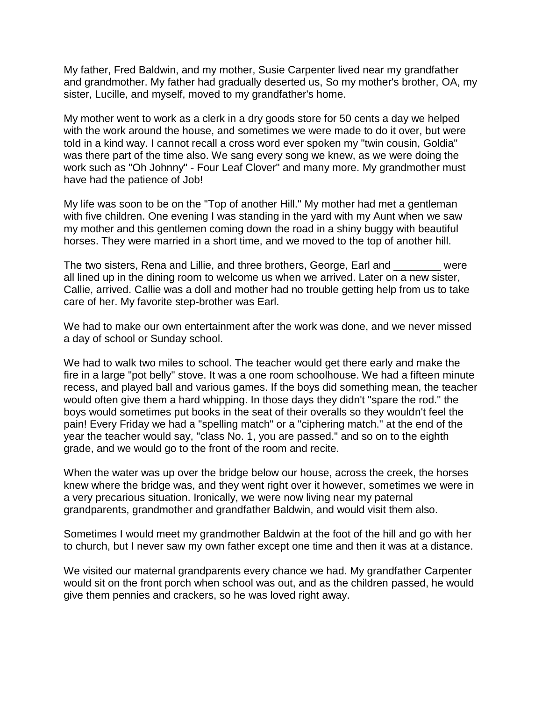My father, Fred Baldwin, and my mother, Susie Carpenter lived near my grandfather and grandmother. My father had gradually deserted us, So my mother's brother, OA, my sister, Lucille, and myself, moved to my grandfather's home.

My mother went to work as a clerk in a dry goods store for 50 cents a day we helped with the work around the house, and sometimes we were made to do it over, but were told in a kind way. I cannot recall a cross word ever spoken my "twin cousin, Goldia" was there part of the time also. We sang every song we knew, as we were doing the work such as "Oh Johnny" - Four Leaf Clover" and many more. My grandmother must have had the patience of Job!

My life was soon to be on the "Top of another Hill." My mother had met a gentleman with five children. One evening I was standing in the yard with my Aunt when we saw my mother and this gentlemen coming down the road in a shiny buggy with beautiful horses. They were married in a short time, and we moved to the top of another hill.

The two sisters, Rena and Lillie, and three brothers, George, Earl and \_\_\_\_\_\_\_\_ were all lined up in the dining room to welcome us when we arrived. Later on a new sister, Callie, arrived. Callie was a doll and mother had no trouble getting help from us to take care of her. My favorite step-brother was Earl.

We had to make our own entertainment after the work was done, and we never missed a day of school or Sunday school.

We had to walk two miles to school. The teacher would get there early and make the fire in a large "pot belly" stove. It was a one room schoolhouse. We had a fifteen minute recess, and played ball and various games. If the boys did something mean, the teacher would often give them a hard whipping. In those days they didn't "spare the rod." the boys would sometimes put books in the seat of their overalls so they wouldn't feel the pain! Every Friday we had a "spelling match" or a "ciphering match." at the end of the year the teacher would say, "class No. 1, you are passed." and so on to the eighth grade, and we would go to the front of the room and recite.

When the water was up over the bridge below our house, across the creek, the horses knew where the bridge was, and they went right over it however, sometimes we were in a very precarious situation. Ironically, we were now living near my paternal grandparents, grandmother and grandfather Baldwin, and would visit them also.

Sometimes I would meet my grandmother Baldwin at the foot of the hill and go with her to church, but I never saw my own father except one time and then it was at a distance.

We visited our maternal grandparents every chance we had. My grandfather Carpenter would sit on the front porch when school was out, and as the children passed, he would give them pennies and crackers, so he was loved right away.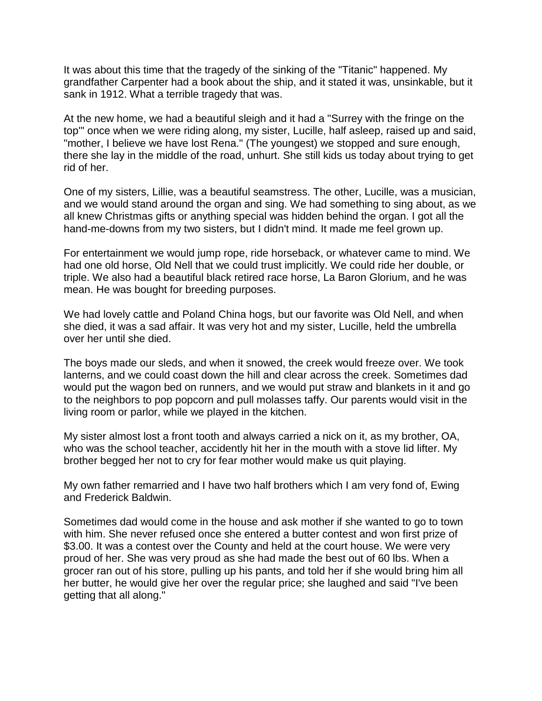It was about this time that the tragedy of the sinking of the "Titanic" happened. My grandfather Carpenter had a book about the ship, and it stated it was, unsinkable, but it sank in 1912. What a terrible tragedy that was.

At the new home, we had a beautiful sleigh and it had a "Surrey with the fringe on the top'" once when we were riding along, my sister, Lucille, half asleep, raised up and said, "mother, I believe we have lost Rena." (The youngest) we stopped and sure enough, there she lay in the middle of the road, unhurt. She still kids us today about trying to get rid of her.

One of my sisters, Lillie, was a beautiful seamstress. The other, Lucille, was a musician, and we would stand around the organ and sing. We had something to sing about, as we all knew Christmas gifts or anything special was hidden behind the organ. I got all the hand-me-downs from my two sisters, but I didn't mind. It made me feel grown up.

For entertainment we would jump rope, ride horseback, or whatever came to mind. We had one old horse, Old Nell that we could trust implicitly. We could ride her double, or triple. We also had a beautiful black retired race horse, La Baron Glorium, and he was mean. He was bought for breeding purposes.

We had lovely cattle and Poland China hogs, but our favorite was Old Nell, and when she died, it was a sad affair. It was very hot and my sister, Lucille, held the umbrella over her until she died.

The boys made our sleds, and when it snowed, the creek would freeze over. We took lanterns, and we could coast down the hill and clear across the creek. Sometimes dad would put the wagon bed on runners, and we would put straw and blankets in it and go to the neighbors to pop popcorn and pull molasses taffy. Our parents would visit in the living room or parlor, while we played in the kitchen.

My sister almost lost a front tooth and always carried a nick on it, as my brother, OA, who was the school teacher, accidently hit her in the mouth with a stove lid lifter. My brother begged her not to cry for fear mother would make us quit playing.

My own father remarried and I have two half brothers which I am very fond of, Ewing and Frederick Baldwin.

Sometimes dad would come in the house and ask mother if she wanted to go to town with him. She never refused once she entered a butter contest and won first prize of \$3.00. It was a contest over the County and held at the court house. We were very proud of her. She was very proud as she had made the best out of 60 lbs. When a grocer ran out of his store, pulling up his pants, and told her if she would bring him all her butter, he would give her over the regular price; she laughed and said "I've been getting that all along."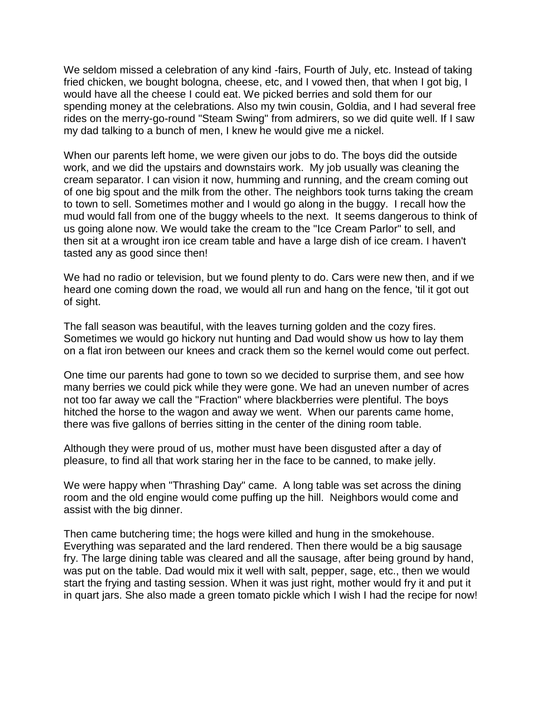We seldom missed a celebration of any kind -fairs, Fourth of July, etc. Instead of taking fried chicken, we bought bologna, cheese, etc, and I vowed then, that when I got big, I would have all the cheese I could eat. We picked berries and sold them for our spending money at the celebrations. Also my twin cousin, Goldia, and I had several free rides on the merry-go-round "Steam Swing" from admirers, so we did quite well. If I saw my dad talking to a bunch of men, I knew he would give me a nickel.

When our parents left home, we were given our jobs to do. The boys did the outside work, and we did the upstairs and downstairs work. My job usually was cleaning the cream separator. I can vision it now, humming and running, and the cream coming out of one big spout and the milk from the other. The neighbors took turns taking the cream to town to sell. Sometimes mother and I would go along in the buggy. I recall how the mud would fall from one of the buggy wheels to the next. It seems dangerous to think of us going alone now. We would take the cream to the "Ice Cream Parlor" to sell, and then sit at a wrought iron ice cream table and have a large dish of ice cream. I haven't tasted any as good since then!

We had no radio or television, but we found plenty to do. Cars were new then, and if we heard one coming down the road, we would all run and hang on the fence, 'til it got out of sight.

The fall season was beautiful, with the leaves turning golden and the cozy fires. Sometimes we would go hickory nut hunting and Dad would show us how to lay them on a flat iron between our knees and crack them so the kernel would come out perfect.

One time our parents had gone to town so we decided to surprise them, and see how many berries we could pick while they were gone. We had an uneven number of acres not too far away we call the "Fraction" where blackberries were plentiful. The boys hitched the horse to the wagon and away we went. When our parents came home, there was five gallons of berries sitting in the center of the dining room table.

Although they were proud of us, mother must have been disgusted after a day of pleasure, to find all that work staring her in the face to be canned, to make jelly.

We were happy when "Thrashing Day" came. A long table was set across the dining room and the old engine would come puffing up the hill. Neighbors would come and assist with the big dinner.

Then came butchering time; the hogs were killed and hung in the smokehouse. Everything was separated and the lard rendered. Then there would be a big sausage fry. The large dining table was cleared and all the sausage, after being ground by hand, was put on the table. Dad would mix it well with salt, pepper, sage, etc., then we would start the frying and tasting session. When it was just right, mother would fry it and put it in quart jars. She also made a green tomato pickle which I wish I had the recipe for now!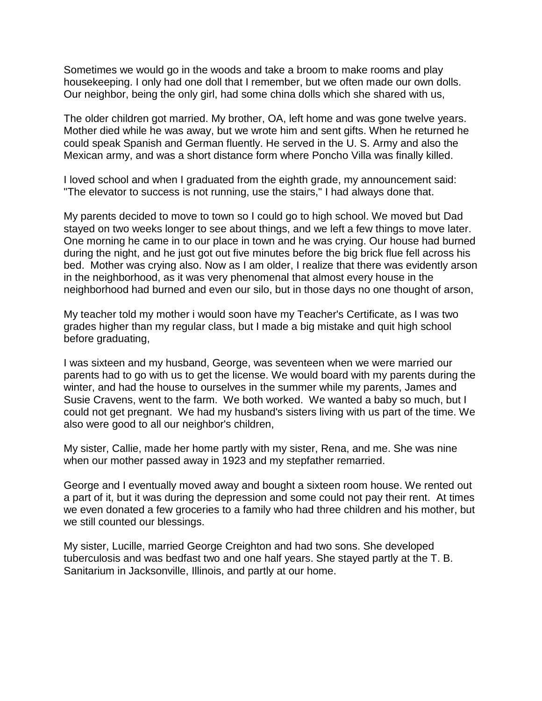Sometimes we would go in the woods and take a broom to make rooms and play housekeeping. I only had one doll that I remember, but we often made our own dolls. Our neighbor, being the only girl, had some china dolls which she shared with us,

The older children got married. My brother, OA, left home and was gone twelve years. Mother died while he was away, but we wrote him and sent gifts. When he returned he could speak Spanish and German fluently. He served in the U. S. Army and also the Mexican army, and was a short distance form where Poncho Villa was finally killed.

I loved school and when I graduated from the eighth grade, my announcement said: "The elevator to success is not running, use the stairs," I had always done that.

My parents decided to move to town so I could go to high school. We moved but Dad stayed on two weeks longer to see about things, and we left a few things to move later. One morning he came in to our place in town and he was crying. Our house had burned during the night, and he just got out five minutes before the big brick flue fell across his bed. Mother was crying also. Now as I am older, I realize that there was evidently arson in the neighborhood, as it was very phenomenal that almost every house in the neighborhood had burned and even our silo, but in those days no one thought of arson,

My teacher told my mother i would soon have my Teacher's Certificate, as I was two grades higher than my regular class, but I made a big mistake and quit high school before graduating,

I was sixteen and my husband, George, was seventeen when we were married our parents had to go with us to get the license. We would board with my parents during the winter, and had the house to ourselves in the summer while my parents, James and Susie Cravens, went to the farm. We both worked. We wanted a baby so much, but I could not get pregnant. We had my husband's sisters living with us part of the time. We also were good to all our neighbor's children,

My sister, Callie, made her home partly with my sister, Rena, and me. She was nine when our mother passed away in 1923 and my stepfather remarried.

George and I eventually moved away and bought a sixteen room house. We rented out a part of it, but it was during the depression and some could not pay their rent. At times we even donated a few groceries to a family who had three children and his mother, but we still counted our blessings.

My sister, Lucille, married George Creighton and had two sons. She developed tuberculosis and was bedfast two and one half years. She stayed partly at the T. B. Sanitarium in Jacksonville, Illinois, and partly at our home.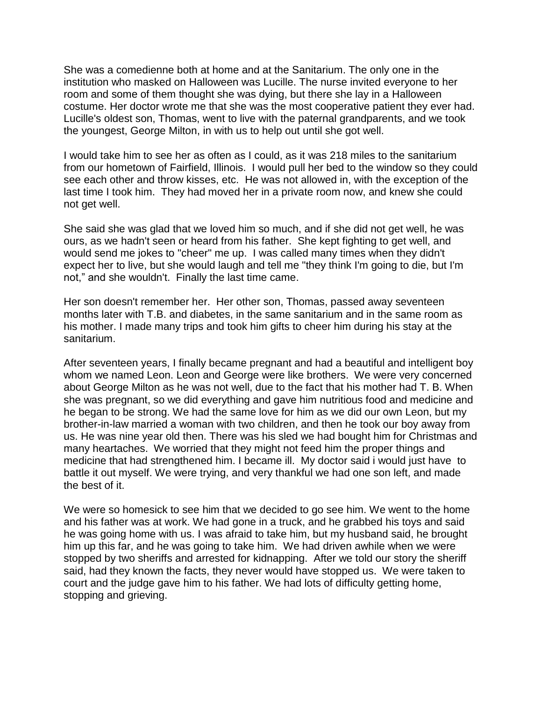She was a comedienne both at home and at the Sanitarium. The only one in the institution who masked on Halloween was Lucille. The nurse invited everyone to her room and some of them thought she was dying, but there she lay in a Halloween costume. Her doctor wrote me that she was the most cooperative patient they ever had. Lucille's oldest son, Thomas, went to live with the paternal grandparents, and we took the youngest, George Milton, in with us to help out until she got well.

I would take him to see her as often as I could, as it was 218 miles to the sanitarium from our hometown of Fairfield, Illinois. I would pull her bed to the window so they could see each other and throw kisses, etc. He was not allowed in, with the exception of the last time I took him. They had moved her in a private room now, and knew she could not get well.

She said she was glad that we loved him so much, and if she did not get well, he was ours, as we hadn't seen or heard from his father. She kept fighting to get well, and would send me jokes to "cheer" me up. I was called many times when they didn't expect her to live, but she would laugh and tell me "they think I'm going to die, but I'm not," and she wouldn't. Finally the last time came.

Her son doesn't remember her. Her other son, Thomas, passed away seventeen months later with T.B. and diabetes, in the same sanitarium and in the same room as his mother. I made many trips and took him gifts to cheer him during his stay at the sanitarium.

After seventeen years, I finally became pregnant and had a beautiful and intelligent boy whom we named Leon. Leon and George were like brothers. We were very concerned about George Milton as he was not well, due to the fact that his mother had T. B. When she was pregnant, so we did everything and gave him nutritious food and medicine and he began to be strong. We had the same love for him as we did our own Leon, but my brother-in-law married a woman with two children, and then he took our boy away from us. He was nine year old then. There was his sled we had bought him for Christmas and many heartaches. We worried that they might not feed him the proper things and medicine that had strengthened him. I became ill. My doctor said i would just have to battle it out myself. We were trying, and very thankful we had one son left, and made the best of it.

We were so homesick to see him that we decided to go see him. We went to the home and his father was at work. We had gone in a truck, and he grabbed his toys and said he was going home with us. I was afraid to take him, but my husband said, he brought him up this far, and he was going to take him. We had driven awhile when we were stopped by two sheriffs and arrested for kidnapping. After we told our story the sheriff said, had they known the facts, they never would have stopped us. We were taken to court and the judge gave him to his father. We had lots of difficulty getting home, stopping and grieving.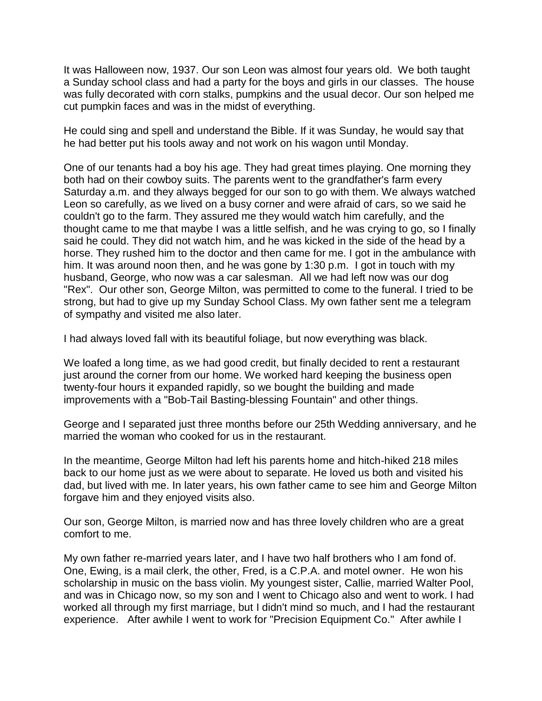It was Halloween now, 1937. Our son Leon was almost four years old. We both taught a Sunday school class and had a party for the boys and girls in our classes. The house was fully decorated with corn stalks, pumpkins and the usual decor. Our son helped me cut pumpkin faces and was in the midst of everything.

He could sing and spell and understand the Bible. If it was Sunday, he would say that he had better put his tools away and not work on his wagon until Monday.

One of our tenants had a boy his age. They had great times playing. One morning they both had on their cowboy suits. The parents went to the grandfather's farm every Saturday a.m. and they always begged for our son to go with them. We always watched Leon so carefully, as we lived on a busy corner and were afraid of cars, so we said he couldn't go to the farm. They assured me they would watch him carefully, and the thought came to me that maybe I was a little selfish, and he was crying to go, so I finally said he could. They did not watch him, and he was kicked in the side of the head by a horse. They rushed him to the doctor and then came for me. I got in the ambulance with him. It was around noon then, and he was gone by 1:30 p.m. I got in touch with my husband, George, who now was a car salesman. All we had left now was our dog "Rex". Our other son, George Milton, was permitted to come to the funeral. I tried to be strong, but had to give up my Sunday School Class. My own father sent me a telegram of sympathy and visited me also later.

I had always loved fall with its beautiful foliage, but now everything was black.

We loafed a long time, as we had good credit, but finally decided to rent a restaurant just around the corner from our home. We worked hard keeping the business open twenty-four hours it expanded rapidly, so we bought the building and made improvements with a "Bob-Tail Basting-blessing Fountain" and other things.

George and I separated just three months before our 25th Wedding anniversary, and he married the woman who cooked for us in the restaurant.

In the meantime, George Milton had left his parents home and hitch-hiked 218 miles back to our home just as we were about to separate. He loved us both and visited his dad, but lived with me. In later years, his own father came to see him and George Milton forgave him and they enjoyed visits also.

Our son, George Milton, is married now and has three lovely children who are a great comfort to me.

My own father re-married years later, and I have two half brothers who I am fond of. One, Ewing, is a mail clerk, the other, Fred, is a C.P.A. and motel owner. He won his scholarship in music on the bass violin. My youngest sister, Callie, married Walter Pool, and was in Chicago now, so my son and I went to Chicago also and went to work. I had worked all through my first marriage, but I didn't mind so much, and I had the restaurant experience. After awhile I went to work for "Precision Equipment Co." After awhile I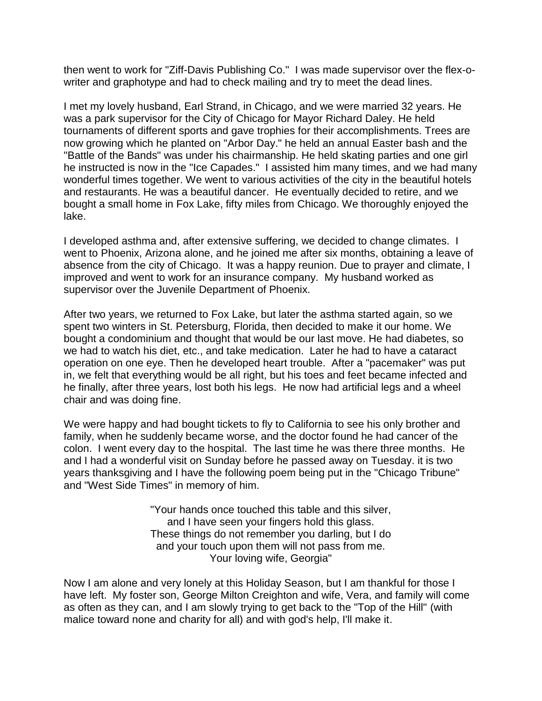then went to work for "Ziff-Davis Publishing Co." I was made supervisor over the flex-owriter and graphotype and had to check mailing and try to meet the dead lines.

I met my lovely husband, Earl Strand, in Chicago, and we were married 32 years. He was a park supervisor for the City of Chicago for Mayor Richard Daley. He held tournaments of different sports and gave trophies for their accomplishments. Trees are now growing which he planted on "Arbor Day." he held an annual Easter bash and the "Battle of the Bands" was under his chairmanship. He held skating parties and one girl he instructed is now in the "Ice Capades." I assisted him many times, and we had many wonderful times together. We went to various activities of the city in the beautiful hotels and restaurants. He was a beautiful dancer. He eventually decided to retire, and we bought a small home in Fox Lake, fifty miles from Chicago. We thoroughly enjoyed the lake.

I developed asthma and, after extensive suffering, we decided to change climates. I went to Phoenix, Arizona alone, and he joined me after six months, obtaining a leave of absence from the city of Chicago. It was a happy reunion. Due to prayer and climate, I improved and went to work for an insurance company. My husband worked as supervisor over the Juvenile Department of Phoenix.

After two years, we returned to Fox Lake, but later the asthma started again, so we spent two winters in St. Petersburg, Florida, then decided to make it our home. We bought a condominium and thought that would be our last move. He had diabetes, so we had to watch his diet, etc., and take medication. Later he had to have a cataract operation on one eye. Then he developed heart trouble. After a "pacemaker" was put in, we felt that everything would be all right, but his toes and feet became infected and he finally, after three years, lost both his legs. He now had artificial legs and a wheel chair and was doing fine.

We were happy and had bought tickets to fly to California to see his only brother and family, when he suddenly became worse, and the doctor found he had cancer of the colon. I went every day to the hospital. The last time he was there three months. He and I had a wonderful visit on Sunday before he passed away on Tuesday. it is two years thanksgiving and I have the following poem being put in the "Chicago Tribune" and "West Side Times" in memory of him.

> "Your hands once touched this table and this silver, and I have seen your fingers hold this glass. These things do not remember you darling, but I do and your touch upon them will not pass from me. Your loving wife, Georgia"

Now I am alone and very lonely at this Holiday Season, but I am thankful for those I have left. My foster son, George Milton Creighton and wife, Vera, and family will come as often as they can, and I am slowly trying to get back to the "Top of the Hill" (with malice toward none and charity for all) and with god's help, I'll make it.